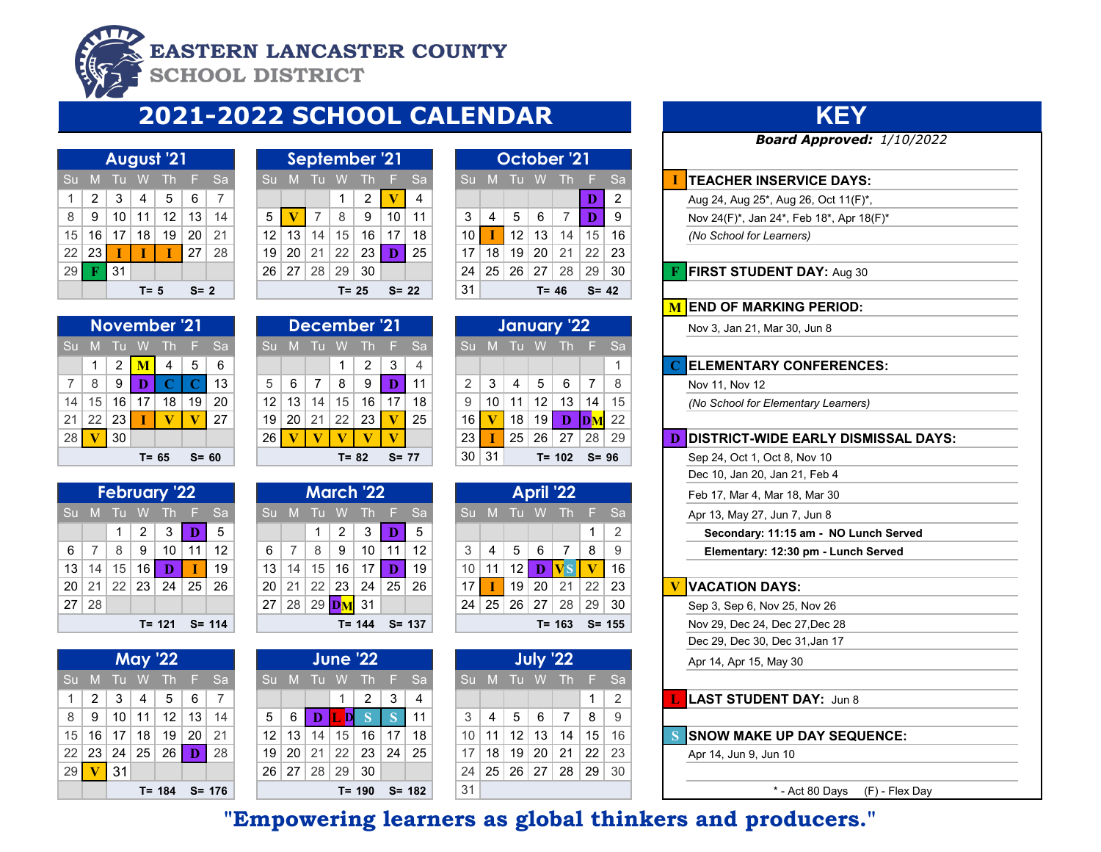

## **EASTERN LANCASTER COUNTY**

**SCHOOL DISTRICT** 

# **2021-2022 SCHOOL CALENDAR**

|    | <b>August '21</b> |    |                 |                           |                |     |  |  |  |  |  |
|----|-------------------|----|-----------------|---------------------------|----------------|-----|--|--|--|--|--|
| Su | M                 | Tu | W               | <b>Th</b>                 | - 5            | Sa  |  |  |  |  |  |
| 1  | $\overline{2}$    | 3  | 4               | $\overline{\overline{5}}$ | $6\phantom{.}$ |     |  |  |  |  |  |
| 8  | 9                 | 10 | 11 <sup>1</sup> | 12                        | 13             | 14  |  |  |  |  |  |
| 15 | 16                | 17 | 18              | 19                        | 20             | -21 |  |  |  |  |  |
|    | 22 23             |    | Т               |                           | 27             | -28 |  |  |  |  |  |
| 29 | F                 | 31 |                 |                           |                |     |  |  |  |  |  |
|    |                   |    | $T = 5$         |                           | $S = 2$        |     |  |  |  |  |  |

|           |     |    |    | <b>November '21</b> |    |           |                 |    |    |    | December '21 |          |           |    |    |    |     | January 22 |
|-----------|-----|----|----|---------------------|----|-----------|-----------------|----|----|----|--------------|----------|-----------|----|----|----|-----|------------|
| <b>Su</b> |     |    |    |                     | н  | <b>Sa</b> | S <sub>II</sub> | M  |    |    | Th           | H.       | <b>Sa</b> |    | W  |    | WV. | Th         |
|           |     | 2  | М  | 4                   | 5  | 6         |                 |    |    |    | 2            | 3        | 4         |    |    |    |     |            |
|           | 8   | 9  | D  |                     |    | 13        | 5               | 6  |    | 8  | 9            |          | 11        | 2  | 3  | 4  | 5   | 6          |
| 14        | 15. | 16 | 17 | 18                  | 19 | 20        | 12              | 13 | 14 | 15 | 16           |          | 18        | 9  |    | 11 | 12  | 13         |
| 21        | 22  | 23 |    | V                   |    | 27        | 19              | 20 | 21 | 22 | 23           |          | 25        | 16 |    | 18 | 19  | D          |
| 28        |     | 30 |    |                     |    |           | 26              |    |    |    |              |          |           | 23 |    | 25 | 26  | 27         |
|           |     |    |    | T= 65               |    | $S = 60$  |                 |    |    |    | T= 82        | $S = 77$ |           | 30 | 31 |    |     | T= 102     |

|       | <b>February '22</b> |                  |         |                   |           |    |  |  |  |
|-------|---------------------|------------------|---------|-------------------|-----------|----|--|--|--|
| Su    | M                   | Tu               | $W_{-}$ | $Th$ $F$          |           | Sa |  |  |  |
|       |                     |                  |         | $1 \mid 2 \mid 3$ | Ð         | 5  |  |  |  |
| 6     | $\overline{7}$      | $8 \mid 9$       |         | $\vert$ 10        | 11        | 12 |  |  |  |
|       |                     | $13 14 15 16 $ D |         |                   | ा         | 19 |  |  |  |
| 20    |                     |                  |         | 21 22 23 24 25 26 |           |    |  |  |  |
| 27 28 |                     |                  |         |                   |           |    |  |  |  |
|       |                     |                  |         | $T = 121$         | $S = 114$ |    |  |  |  |

|   |                  | <b>May '22</b> |                                  |  |
|---|------------------|----------------|----------------------------------|--|
|   |                  |                | Su M Tu W Th F Sa                |  |
| 1 |                  |                | 234567                           |  |
|   |                  |                | $8$   9   10   11   12   13   14 |  |
|   |                  |                | 15   16   17   18   19   20   21 |  |
|   |                  |                | 22 23 24 25 26 D 28              |  |
|   | 29 $\sqrt{V}$ 31 |                |                                  |  |
|   |                  |                | $T = 184$ S= 176                 |  |

|              |    |    |      | <b>August '21'</b> |         |           |    |    |    |       | September '21 |          |    |    |    |    |       | October '21 |          |     |
|--------------|----|----|------|--------------------|---------|-----------|----|----|----|-------|---------------|----------|----|----|----|----|-------|-------------|----------|-----|
| Su           | M  |    | W    | Th                 |         | <b>Sa</b> |    | M  |    |       |               |          | Sa |    |    |    |       | Πh          | Æ        | -Sa |
| $\mathbf{1}$ | 2  | 3  | 4    | 5                  | 6       | 7         |    |    |    |       | 2             |          | 4  |    |    |    |       |             | D        | 2   |
| 8            | 9  | 10 | 11   | 12                 | 13      | 14        | 5  |    |    | 8     | 9             | 10       | 11 | 3  | 4  | 5  | 6     |             | D        | 9   |
| 15           | 16 | 17 | 18   | 19                 | 20      | 21        | 12 | 13 | 14 | 15    | 16            | 17       | 18 | 10 |    | 12 | 13    | 14          | 15       | 16  |
| 22           | 23 |    |      |                    | 27      | 28        | 19 | 20 | 21 | 22    | 23            |          | 25 | 17 | 18 | 19 | 20    | 21          | 22       | 23  |
| 29           |    | 31 |      |                    |         |           | 26 | 27 | 28 | 29    | 30            |          |    | 24 | 25 | 26 | 27    | 28          | 29       | 30  |
|              |    |    | T= 5 |                    | $S = 2$ |           |    |    |    | T= 25 |               | $S = 22$ |    | 31 |    |    | T= 46 |             | $S = 42$ |     |

|    |    |      |       | October <sup>'</sup> 21              |                       |                |
|----|----|------|-------|--------------------------------------|-----------------------|----------------|
| Su | M  | Tu W |       | Th                                   | L F                   |                |
|    |    |      |       |                                      | Ð                     | $\overline{2}$ |
| 3  | 4  |      | 5 6 7 |                                      | D                     | 9              |
| 10 |    |      |       | 12 13 14                             | 15                    | 16             |
| 17 | 18 |      |       | 19 20 21                             | $\vert$ 22 $\vert$ 23 |                |
| 24 |    |      |       | $25 \mid 26 \mid 27 \mid 28 \mid 29$ |                       | -30            |
| 31 |    |      |       | T= 46                                | $S = 42$              |                |

|                     |                 |                 |                 | November '21 |          |           |                 |    |    |          | December '21 |          |     |                 |    |                 |                 | January '22 |       |    |  | Nov 3, Jan 21, Mar 30, Jun 8        |
|---------------------|-----------------|-----------------|-----------------|--------------|----------|-----------|-----------------|----|----|----------|--------------|----------|-----|-----------------|----|-----------------|-----------------|-------------|-------|----|--|-------------------------------------|
| ΝП                  | - M             | $\blacksquare$  | W               | Th           |          | <b>Sa</b> |                 |    | ш  | W.       |              |          | -Sa |                 |    |                 | W               | Th.         | F Sa  |    |  |                                     |
|                     |                 |                 | м               | 4            | 5        | 6         |                 |    |    |          | 2            | 3        |     |                 |    |                 |                 |             |       |    |  | <b>ELEMENTARY CONFERENCE</b>        |
|                     | 8               | 9               | D               |              |          | 13        |                 | 6  |    | 8        |              |          |     | $\mathfrak{D}$  | 3  | 4               | 5               | 6           |       |    |  | Nov 11, Nov 12                      |
| $\overline{4}$      | 15              | 16 <sup>1</sup> | 17 <sup>1</sup> | 18           | 19       | 20        | 12 <sup>1</sup> | 13 | 14 | 15       | 16           | 17       | 18  | 9               | 10 | 11              | 12              | 13          | 14    | 15 |  | (No School for Elementary Learners) |
|                     | 22 <sub>1</sub> | <b>231</b>      |                 |              |          | 27        | 19 <sup>1</sup> | 20 | 21 | 22       | 23           |          | 25  | 16              |    | 18 <sup>1</sup> | 19 <sup>1</sup> | D           | DM22  |    |  |                                     |
| $28$ $\blacksquare$ |                 | 30              |                 |              |          |           | 26              |    |    |          |              |          |     | 23              |    | 25 <sub>1</sub> | 26              | 27          | 28    | 29 |  | <b>IDISTRICT-WIDE EARLY DISM</b>    |
|                     |                 |                 |                 | $T = 65$     | $S = 60$ |           |                 |    |    | $T = 82$ |              | $S = 77$ |     | 30 <sub>1</sub> | 31 |                 |                 | $T = 102$   | S= 96 |    |  | Sep 24, Oct 1, Oct 8, Nov 10        |

|    |    |    |     | <b>March '22</b> |    |           |    |     |    |    | <b>April '22</b> |    |               |  | Feb 17, Mar 4, Mar 18, Mar 30  |
|----|----|----|-----|------------------|----|-----------|----|-----|----|----|------------------|----|---------------|--|--------------------------------|
|    | M  |    | WV. | Th F             |    | <b>Sa</b> | Su | IM. | TU | W  | 41) T            | E  | Sa.           |  | Apr 13, May 27, Jun 7, Jun 8   |
|    |    |    | 2   | 3                |    | 5         |    |     |    |    |                  | 1  | $\mathcal{P}$ |  | Secondary: 11:15 am - NO       |
| 6  |    | 8  | 9   | 10               |    | 12        | 3  | 4   | 5  | 6  |                  | 8  | 9             |  | Elementary: 12:30 pm - Lur     |
| 13 | 14 | 15 | 16  | 17               |    | 19        | 10 |     | 12 | D  |                  |    | 16            |  |                                |
| 20 | 21 | 22 | 23  | 24               | 25 | 26        | 17 |     | 19 | 20 | 21               | 22 | 23            |  | <b>VACATION DAYS:</b>          |
| 27 | 28 | 29 |     | 31               |    |           | 24 | 25  | 26 | 27 | 28               | 29 | 30            |  | Sep 3, Sep 6, Nov 25, Nov 26   |
|    |    |    |     | T= 144           |    | $S = 137$ |    |     |    |    | T= 163           |    | $S = 155$     |  | Nov 29, Dec 24, Dec 27, Dec 28 |
|    |    |    |     |                  |    |           |    |     |    |    |                  |    |               |  |                                |

|        |         |                 |                | <b>May '22</b>  |    |           |                 |    |    |    | <b>June '22</b> |                 |           |                 |                 |    |    | <b>July '22</b> |    |      |  | Apr 14, Apr 15, May 30       |
|--------|---------|-----------------|----------------|-----------------|----|-----------|-----------------|----|----|----|-----------------|-----------------|-----------|-----------------|-----------------|----|----|-----------------|----|------|--|------------------------------|
| Su M   |         | -alle           | W.             | Th.             |    | F Sa      |                 | M  |    | W  | Th              |                 | F Sa      |                 |                 | w  | W  |                 |    | - Sa |  |                              |
|        | 2       | 3               | $\overline{4}$ | 5               | 6  |           |                 |    |    |    | 2               | 3               | 4         |                 |                 |    |    |                 |    |      |  | L LAST STUDENT DAY: Jun 8    |
| 8      | -9      | 10 <sup>1</sup> | 11             | 12              | 13 | 14        | 5               | 6  | D  | D  |                 |                 |           | 3               | 4               | 5  | 6  |                 | 8  | 9    |  |                              |
|        | 15   16 | 17 <sup>1</sup> | 18             | 19              | 20 | 21        | 12              | 13 | 14 | 15 | 16              | 17 <sub>1</sub> | 18        | 10              | 11              | 12 | 13 | 14              | 15 | 16   |  | <b>SNOW MAKE UP DAY SEQU</b> |
|        | 22   23 | 24              | 25             | 26 <sub>1</sub> | D  | 28        | 19              | 20 | 21 | 22 | 23              | 24              | 25        | 17 <sup>1</sup> | 18              | 19 | 20 | 21              | 22 | 23   |  | Apr 14, Jun 9, Jun 10        |
| $29$ V |         | 31              |                |                 |    |           | 26 <sup>1</sup> | 27 | 28 | 29 | 30              |                 |           | 24              | 25 <sub>1</sub> | 26 | 27 | 28              | 29 | 30   |  |                              |
|        |         |                 |                | T= 184          |    | $S = 176$ |                 |    |    |    | $T = 190$       |                 | $S = 182$ | 31              |                 |    |    |                 |    |      |  | * - Act 80 Davs              |

## **KEY**

*Board Approved: 1/10/2022*

### **TEACHER INSERVICE DAYS:**

- Aug 24, Aug 25<sup>\*</sup>, Aug 26, Oct 11(F)<sup>\*</sup>,
- Nov 24(F)<sup>\*</sup>, Jan 24<sup>\*</sup>, Feb 18<sup>\*</sup>, Apr 18(F)<sup>\*</sup>
- 15 16 17 18 19 20 21 12 13 14 15 16 17 18 10 **I** 12 13 14 15 16 *(No School for Learners)*

**FIRST STUDENT DAY: Aug 30** 

### **M END OF MARKING PERIOD:**

### 1 2 3 4 **1 1 2 3 4 5 6 1 2**  $\overline{C}$  **ELEMENTARY CONFERENCES:**

### 28 **V** 30 26 **V V V V V** 23 **I** 25 26 27 28 29 **D DISTRICT-WIDE EARLY DISMISSAL DAYS:**

- 
- Dec 10, Jan 20, Jan 21, Feb 4
- Feb 17, Mar 4, Mar 18, Mar 30
- 
- 1 2 3 **D** 5 1 2 Secondary: 11:15 am NO Lunch Served
- 6 7 8 9 10 11 12 6 7 8 9 10 11 12 3 4 5 6 7 8 9 **Elementary: 12:30 pm Lunch Served**

- Sep 3, Sep 6, Nov 25, Nov 26
- 
- Dec 29, Dec 30, Dec 31,Jan 17

12 | 13 | 14 | 15 | 16 | 17 | 18 | | 10 | 11 | 12 | 13 | 14 | 15 | 16 | | | | **S | SNOW MAKE UP DAY SEQUENCE:** 

\* - Act 80 Days (F) - Flex Day

# **"Empowering learners as global thinkers and producers."**